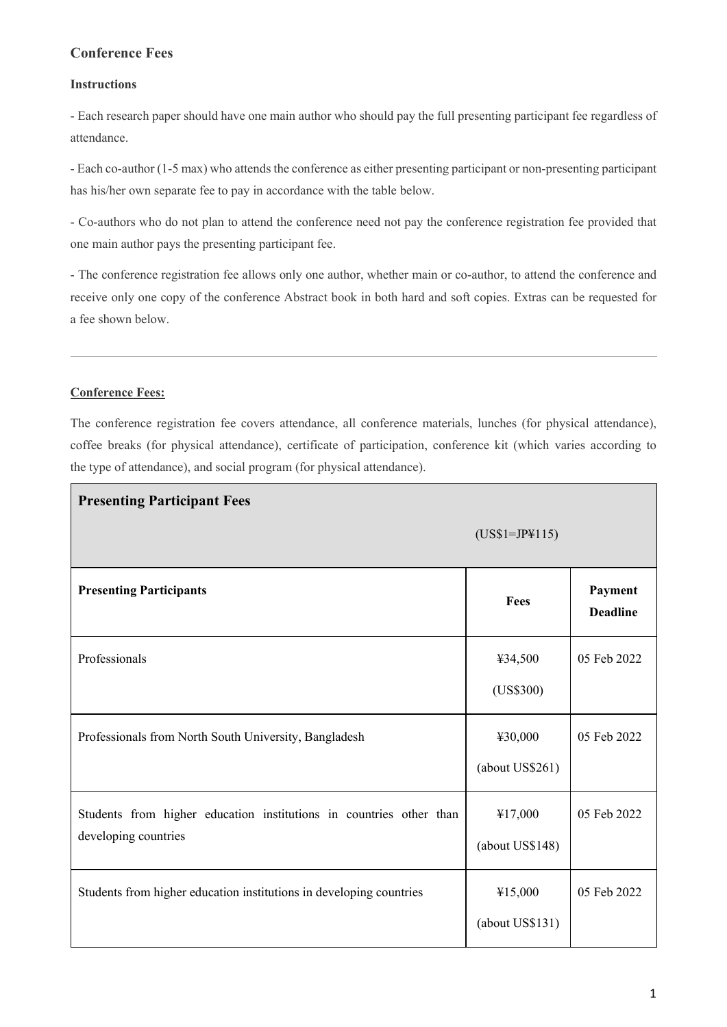# **Conference Fees**

#### **Instructions**

- Each research paper should have one main author who should pay the full presenting participant fee regardless of attendance.

- Each co-author (1-5 max) who attends the conference as either presenting participant or non-presenting participant has his/her own separate fee to pay in accordance with the table below.

- Co-authors who do not plan to attend the conference need not pay the conference registration fee provided that one main author pays the presenting participant fee.

- The conference registration fee allows only one author, whether main or co-author, to attend the conference and receive only one copy of the conference Abstract book in both hard and soft copies. Extras can be requested for a fee shown below.

#### **Conference Fees:**

The conference registration fee covers attendance, all conference materials, lunches (for physical attendance), coffee breaks (for physical attendance), certificate of participation, conference kit (which varies according to the type of attendance), and social program (for physical attendance).

| <b>Presenting Participant Fees</b>                                  |                 |                            |  |
|---------------------------------------------------------------------|-----------------|----------------------------|--|
|                                                                     | $(US$1=JP$115)$ |                            |  |
| <b>Presenting Participants</b>                                      | Fees            | Payment<br><b>Deadline</b> |  |
| Professionals                                                       | ¥34,500         | 05 Feb 2022                |  |
|                                                                     | (US\$300)       |                            |  |
| Professionals from North South University, Bangladesh               | ¥30,000         | 05 Feb 2022                |  |
|                                                                     | (about US\$261) |                            |  |
| Students from higher education institutions in countries other than | ¥17,000         | 05 Feb 2022                |  |
| developing countries                                                | (about US\$148) |                            |  |
| Students from higher education institutions in developing countries | ¥15,000         | 05 Feb 2022                |  |
|                                                                     | (about US\$131) |                            |  |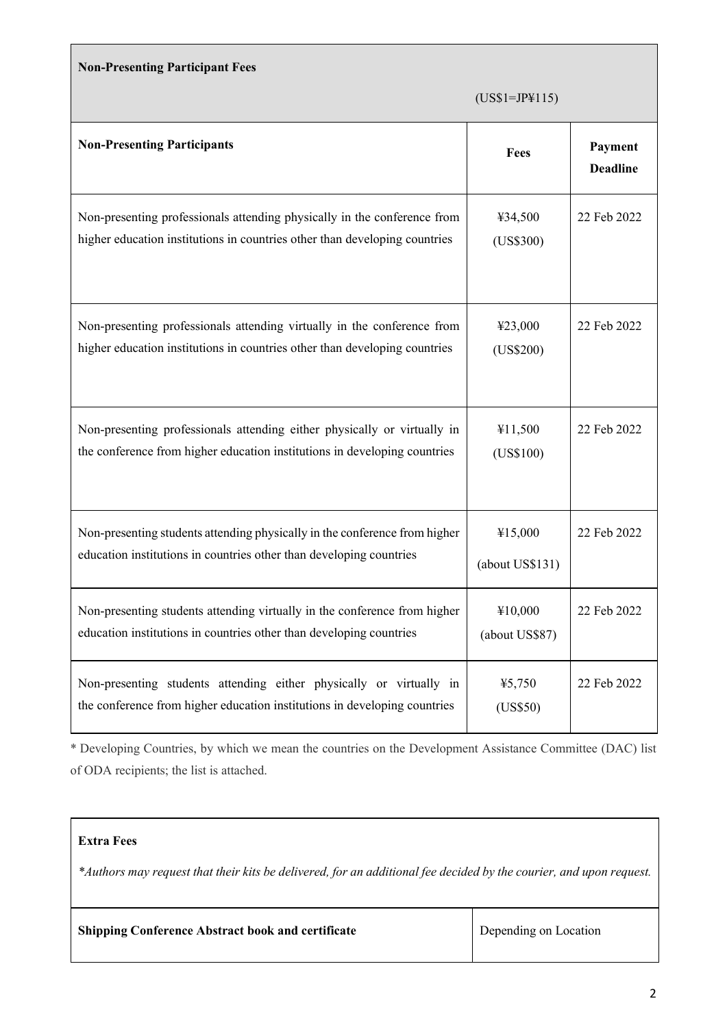### **Non-Presenting Participant Fees**

|  | $(US$1=JP$115)$ |
|--|-----------------|
|--|-----------------|

| <b>Non-Presenting Participants</b>                                                                                                                     | Fees                       | Payment<br><b>Deadline</b> |
|--------------------------------------------------------------------------------------------------------------------------------------------------------|----------------------------|----------------------------|
| Non-presenting professionals attending physically in the conference from<br>higher education institutions in countries other than developing countries | ¥34,500<br>(US\$300)       | 22 Feb 2022                |
| Non-presenting professionals attending virtually in the conference from<br>higher education institutions in countries other than developing countries  | ¥23,000<br>(US\$200)       | 22 Feb 2022                |
| Non-presenting professionals attending either physically or virtually in<br>the conference from higher education institutions in developing countries  | ¥11,500<br>(US\$100)       | 22 Feb 2022                |
| Non-presenting students attending physically in the conference from higher<br>education institutions in countries other than developing countries      | ¥15,000<br>(about US\$131) | 22 Feb 2022                |
| Non-presenting students attending virtually in the conference from higher<br>education institutions in countries other than developing countries       | ¥10,000<br>(about US\$87)  | 22 Feb 2022                |
| Non-presenting students attending either physically or virtually in<br>the conference from higher education institutions in developing countries       | 45,750<br>(US\$50)         | 22 Feb 2022                |

\* Developing Countries, by which we mean the countries on the Development Assistance Committee (DAC) list of ODA recipients; the list is attached.

# **Extra Fees**

*\*Authors may request that their kits be delivered, for an additional fee decided by the courier, and upon request.*

Depending on Location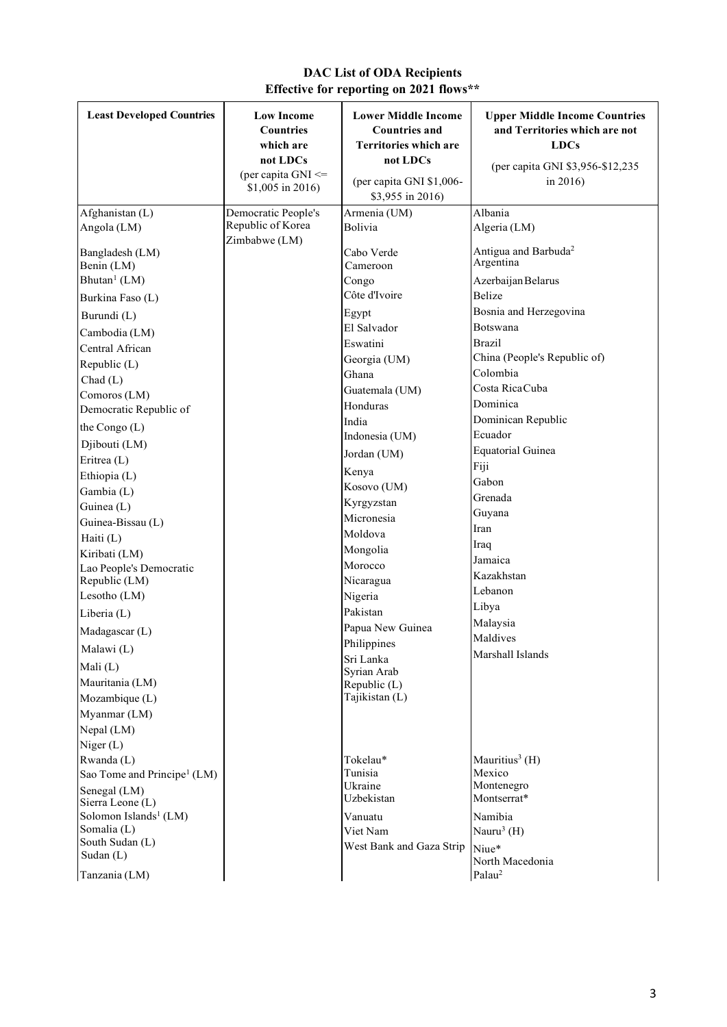# **DAC List of ODA Recipients Effective for reporting on 2021 flows\*\***

| <b>Least Developed Countries</b>         | <b>Low Income</b><br><b>Countries</b><br>which are<br>not LDCs<br>(per capita GNI <=<br>\$1,005 in 2016) | <b>Lower Middle Income</b><br><b>Countries and</b><br><b>Territories which are</b><br>not LDCs<br>(per capita GNI \$1,006-<br>\$3,955 in 2016) | <b>Upper Middle Income Countries</b><br>and Territories which are not<br><b>LDCs</b><br>(per capita GNI \$3,956-\$12,235)<br>in $2016$ ) |
|------------------------------------------|----------------------------------------------------------------------------------------------------------|------------------------------------------------------------------------------------------------------------------------------------------------|------------------------------------------------------------------------------------------------------------------------------------------|
| Afghanistan (L)<br>Angola (LM)           | Democratic People's<br>Republic of Korea                                                                 | Armenia (UM)<br>Bolivia                                                                                                                        | Albania<br>Algeria (LM)                                                                                                                  |
| Bangladesh (LM)<br>Benin (LM)            | Zimbabwe (LM)                                                                                            | Cabo Verde<br>Cameroon                                                                                                                         | Antigua and Barbuda <sup>2</sup><br>Argentina                                                                                            |
| Bhutan <sup>1</sup> (LM)                 |                                                                                                          | Congo                                                                                                                                          | Azerbaijan Belarus                                                                                                                       |
| Burkina Faso (L)                         |                                                                                                          | Côte d'Ivoire                                                                                                                                  | Belize                                                                                                                                   |
| Burundi (L)                              |                                                                                                          | Egypt                                                                                                                                          | Bosnia and Herzegovina                                                                                                                   |
| Cambodia (LM)                            |                                                                                                          | El Salvador                                                                                                                                    | Botswana                                                                                                                                 |
| Central African                          |                                                                                                          | Eswatini                                                                                                                                       | Brazil                                                                                                                                   |
| Republic (L)                             |                                                                                                          | Georgia (UM)                                                                                                                                   | China (People's Republic of)                                                                                                             |
| Chad(L)                                  |                                                                                                          | Ghana                                                                                                                                          | Colombia                                                                                                                                 |
| Comoros (LM)                             |                                                                                                          | Guatemala (UM)                                                                                                                                 | Costa Rica Cuba                                                                                                                          |
| Democratic Republic of                   |                                                                                                          | Honduras                                                                                                                                       | Dominica                                                                                                                                 |
| the Congo (L)                            |                                                                                                          | India                                                                                                                                          | Dominican Republic                                                                                                                       |
|                                          |                                                                                                          | Indonesia (UM)                                                                                                                                 | Ecuador                                                                                                                                  |
| Djibouti (LM)<br>Eritrea (L)             |                                                                                                          | Jordan (UM)                                                                                                                                    | <b>Equatorial Guinea</b>                                                                                                                 |
|                                          |                                                                                                          | Kenya                                                                                                                                          | Fiji                                                                                                                                     |
| Ethiopia (L)                             |                                                                                                          | Kosovo (UM)                                                                                                                                    | Gabon                                                                                                                                    |
| Gambia (L)                               |                                                                                                          | Kyrgyzstan                                                                                                                                     | Grenada                                                                                                                                  |
| Guinea (L)                               |                                                                                                          | Micronesia                                                                                                                                     | Guyana                                                                                                                                   |
| Guinea-Bissau (L)                        |                                                                                                          | Moldova                                                                                                                                        | Iran                                                                                                                                     |
| Haiti (L)                                |                                                                                                          | Mongolia                                                                                                                                       | Iraq                                                                                                                                     |
| Kiribati (LM)                            |                                                                                                          | Morocco                                                                                                                                        | Jamaica                                                                                                                                  |
| Lao People's Democratic<br>Republic (LM) |                                                                                                          | Nicaragua                                                                                                                                      | Kazakhstan                                                                                                                               |
| Lesotho (LM)                             |                                                                                                          | Nigeria                                                                                                                                        | Lebanon                                                                                                                                  |
|                                          |                                                                                                          | Pakistan                                                                                                                                       | Libya                                                                                                                                    |
| Liberia (L)                              |                                                                                                          |                                                                                                                                                | Malaysia                                                                                                                                 |
| Madagascar (L)                           |                                                                                                          | Papua New Guinea                                                                                                                               | Maldives                                                                                                                                 |
| Malawi (L)                               |                                                                                                          | Philippines                                                                                                                                    | Marshall Islands                                                                                                                         |
| Mali $(L)$                               |                                                                                                          | Sri Lanka<br>Syrian Arab                                                                                                                       |                                                                                                                                          |
| Mauritania (LM)                          |                                                                                                          | Republic (L)                                                                                                                                   |                                                                                                                                          |
| Mozambique (L)                           |                                                                                                          | Tajikistan (L)                                                                                                                                 |                                                                                                                                          |
| Myanmar (LM)                             |                                                                                                          |                                                                                                                                                |                                                                                                                                          |
| Nepal (LM)                               |                                                                                                          |                                                                                                                                                |                                                                                                                                          |
| Niger(L)                                 |                                                                                                          |                                                                                                                                                |                                                                                                                                          |
| Rwanda (L)                               |                                                                                                          | Tokelau*                                                                                                                                       | Mauritius <sup>3</sup> (H)                                                                                                               |
| Sao Tome and Principe <sup>1</sup> (LM)  |                                                                                                          | Tunisia                                                                                                                                        | Mexico                                                                                                                                   |
| Senegal (LM)                             |                                                                                                          | Ukraine                                                                                                                                        | Montenegro                                                                                                                               |
| Sierra Leone (L)                         |                                                                                                          | Uzbekistan                                                                                                                                     | Montserrat*                                                                                                                              |
| Solomon Islands <sup>1</sup> (LM)        |                                                                                                          | Vanuatu                                                                                                                                        | Namibia                                                                                                                                  |
| Somalia (L)                              |                                                                                                          | Viet Nam                                                                                                                                       | Nauru <sup>3</sup> (H)                                                                                                                   |
| South Sudan (L)<br>Sudan (L)             |                                                                                                          | West Bank and Gaza Strip                                                                                                                       | Niue*                                                                                                                                    |
| Tanzania (LM)                            |                                                                                                          |                                                                                                                                                | North Macedonia<br>Palau <sup>2</sup>                                                                                                    |